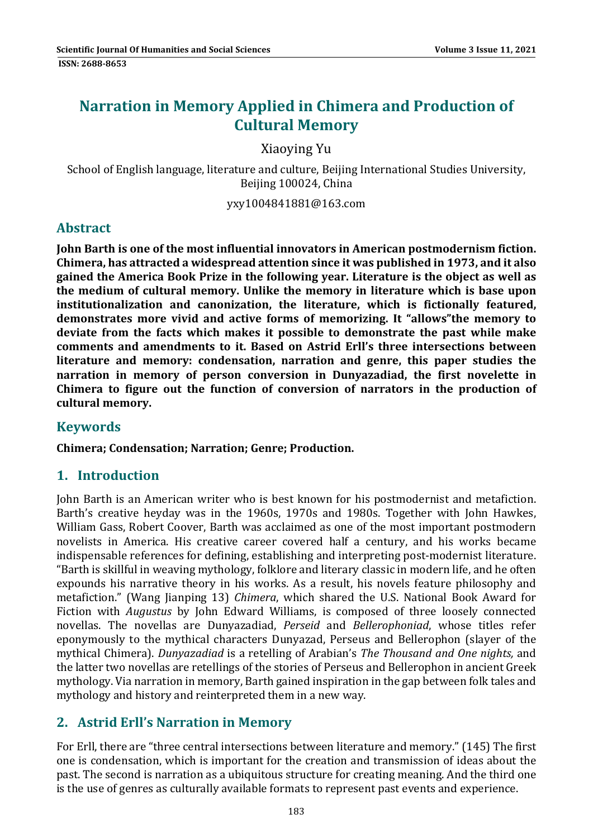# **Narration in Memory Applied in Chimera and Production of Cultural Memory**

Xiaoying Yu 

School of English language, literature and culture, Beijing International Studies University, Beijing 100024, China

yxy1004841881@163.com 

#### **Abstract**

**John Barth is one of the most influential innovators in American postmodernism fiction. Chimera, has attracted a widespread attention since it was published in 1973, and it also gained the America Book Prize in the following year. Literature is the object as well as the medium of cultural memory. Unlike the memory in literature which is base upon institutionalization and canonization, the literature, which is fictionally featured, demonstrates more vivid and active forms of memorizing. It "allows"the memory to deviate from the facts which makes it possible to demonstrate the past while make comments and amendments to it. Based on Astrid Erll's three intersections between literature and memory: condensation, narration and genre, this paper studies the narration in memory of person conversion in Dunyazadiad, the first novelette in Chimera to figure out the function of conversion of narrators in the production of cultural memory.**

#### **Keywords**

**Chimera; Condensation; Narration; Genre; Production.**

#### **1. Introduction**

John Barth is an American writer who is best known for his postmodernist and metafiction. Barth's creative heyday was in the 1960s, 1970s and 1980s. Together with John Hawkes, William Gass, Robert Coover, Barth was acclaimed as one of the most important postmodern novelists in America. His creative career covered half a century, and his works became indispensable references for defining, establishing and interpreting post-modernist literature. "Barth is skillful in weaving mythology, folklore and literary classic in modern life, and he often expounds his narrative theory in his works. As a result, his novels feature philosophy and metafiction." (Wang Jianping 13) *Chimera*, which shared the U.S. National Book Award for Fiction with *Augustus* by John Edward Williams, is composed of three loosely connected novellas. The novellas are Dunyazadiad, *Perseid* and *Bellerophoniad*, whose titles refer eponymously to the mythical characters Dunyazad, Perseus and Bellerophon (slayer of the mythical Chimera). *Dunyazadiad* is a retelling of Arabian's *The Thousand and One nights,* and the latter two novellas are retellings of the stories of Perseus and Bellerophon in ancient Greek mythology. Via narration in memory, Barth gained inspiration in the gap between folk tales and mythology and history and reinterpreted them in a new way.

# **2. Astrid Erll's Narration in Memory**

For Erll, there are "three central intersections between literature and memory." (145) The first one is condensation, which is important for the creation and transmission of ideas about the past. The second is narration as a ubiquitous structure for creating meaning. And the third one is the use of genres as culturally available formats to represent past events and experience.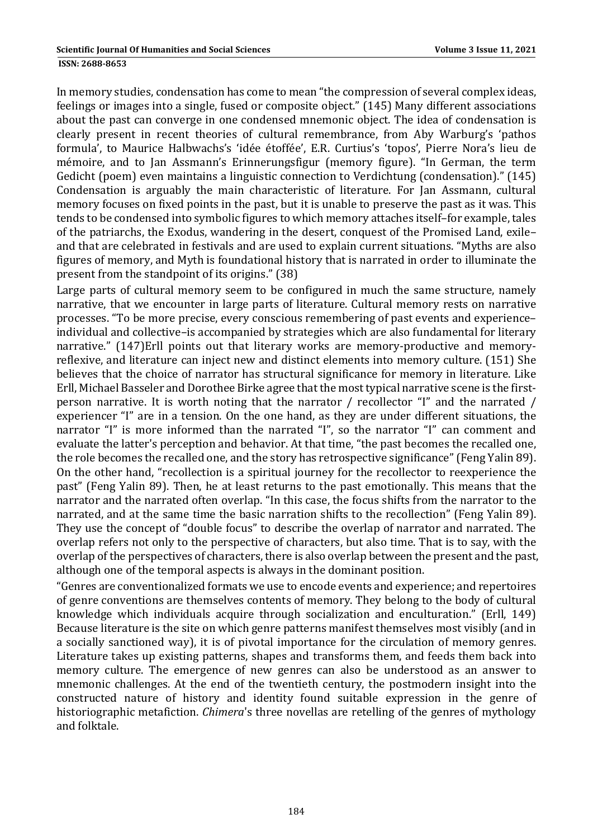#### **ISSN: 2688-8653**

In memory studies, condensation has come to mean "the compression of several complex ideas, feelings or images into a single, fused or composite object." (145) Many different associations about the past can converge in one condensed mnemonic object. The idea of condensation is clearly present in recent theories of cultural remembrance, from Aby Warburg's 'pathos formula', to Maurice Halbwachs's 'idée étoffée', E.R. Curtius's 'topos', Pierre Nora's lieu de mémoire, and to Jan Assmann's Erinnerungsfigur (memory figure). "In German, the term Gedicht (poem) even maintains a linguistic connection to Verdichtung (condensation)." (145) Condensation is arguably the main characteristic of literature. For Jan Assmann, cultural memory focuses on fixed points in the past, but it is unable to preserve the past as it was. This tends to be condensed into symbolic figures to which memory attaches itself-for example, tales of the patriarchs, the Exodus, wandering in the desert, conquest of the Promised Land, exileand that are celebrated in festivals and are used to explain current situations. "Myths are also figures of memory, and Myth is foundational history that is narrated in order to illuminate the present from the standpoint of its origins." (38)

Large parts of cultural memory seem to be configured in much the same structure, namely narrative, that we encounter in large parts of literature. Cultural memory rests on narrative processes. "To be more precise, every conscious remembering of past events and experienceindividual and collective–is accompanied by strategies which are also fundamental for literary narrative." (147)Erll points out that literary works are memory-productive and memoryreflexive, and literature can inject new and distinct elements into memory culture. (151) She believes that the choice of narrator has structural significance for memory in literature. Like Erll, Michael Basseler and Dorothee Birke agree that the most typical narrative scene is the firstperson narrative. It is worth noting that the narrator / recollector "I" and the narrated / experiencer "I" are in a tension. On the one hand, as they are under different situations, the narrator "I" is more informed than the narrated "I", so the narrator "I" can comment and evaluate the latter's perception and behavior. At that time, "the past becomes the recalled one, the role becomes the recalled one, and the story has retrospective significance" (Feng Yalin 89). On the other hand, "recollection is a spiritual journey for the recollector to reexperience the past" (Feng Yalin 89). Then, he at least returns to the past emotionally. This means that the narrator and the narrated often overlap. "In this case, the focus shifts from the narrator to the narrated, and at the same time the basic narration shifts to the recollection" (Feng Yalin 89). They use the concept of "double focus" to describe the overlap of narrator and narrated. The overlap refers not only to the perspective of characters, but also time. That is to say, with the overlap of the perspectives of characters, there is also overlap between the present and the past, although one of the temporal aspects is always in the dominant position.

"Genres are conventionalized formats we use to encode events and experience; and repertoires of genre conventions are themselves contents of memory. They belong to the body of cultural knowledge which individuals acquire through socialization and enculturation." (Erll, 149) Because literature is the site on which genre patterns manifest themselves most visibly (and in a socially sanctioned way), it is of pivotal importance for the circulation of memory genres. Literature takes up existing patterns, shapes and transforms them, and feeds them back into memory culture. The emergence of new genres can also be understood as an answer to mnemonic challenges. At the end of the twentieth century, the postmodern insight into the constructed nature of history and identity found suitable expression in the genre of historiographic metafiction. *Chimera*'s three novellas are retelling of the genres of mythology and folktale.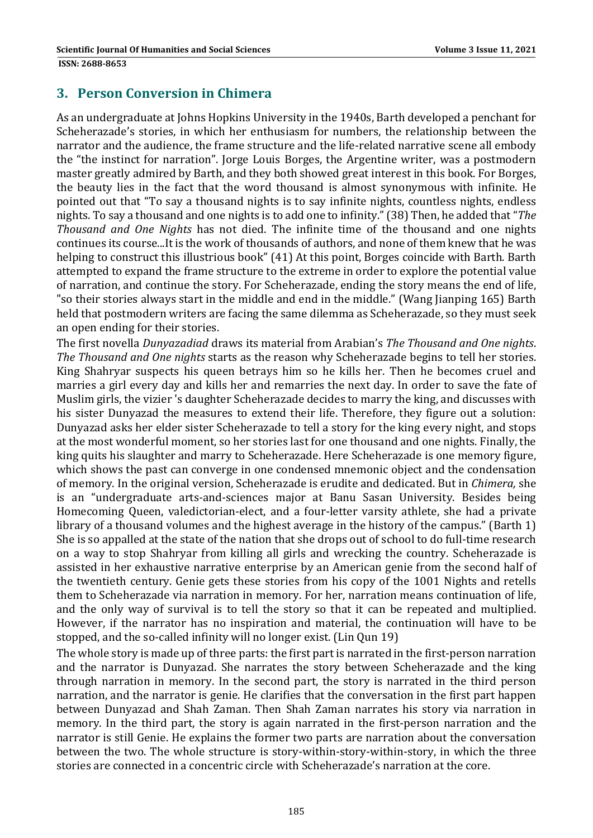#### **3. Person Conversion in Chimera**

As an undergraduate at Johns Hopkins University in the 1940s, Barth developed a penchant for Scheherazade's stories, in which her enthusiasm for numbers, the relationship between the narrator and the audience, the frame structure and the life-related narrative scene all embody the "the instinct for narration". Jorge Louis Borges, the Argentine writer, was a postmodern master greatly admired by Barth, and they both showed great interest in this book. For Borges, the beauty lies in the fact that the word thousand is almost synonymous with infinite. He pointed out that "To say a thousand nights is to say infinite nights, countless nights, endless nights. To say a thousand and one nights is to add one to infinity." (38) Then, he added that "*The Thousand* and *One Nights* has not died. The infinite time of the thousand and one nights continues its course...It is the work of thousands of authors, and none of them knew that he was helping to construct this illustrious book" (41) At this point, Borges coincide with Barth. Barth attempted to expand the frame structure to the extreme in order to explore the potential value of narration, and continue the story. For Scheherazade, ending the story means the end of life, "so their stories always start in the middle and end in the middle." (Wang Jianping 165) Barth held that postmodern writers are facing the same dilemma as Scheherazade, so they must seek an open ending for their stories.

The first novella *Dunyazadiad* draws its material from Arabian's *The Thousand and One nights*. *The Thousand and One nights* starts as the reason why Scheherazade begins to tell her stories. King Shahryar suspects his queen betrays him so he kills her. Then he becomes cruel and marries a girl every day and kills her and remarries the next day. In order to save the fate of Muslim girls, the vizier 's daughter Scheherazade decides to marry the king, and discusses with his sister Dunyazad the measures to extend their life. Therefore, they figure out a solution: Dunyazad asks her elder sister Scheherazade to tell a story for the king every night, and stops at the most wonderful moment, so her stories last for one thousand and one nights. Finally, the king quits his slaughter and marry to Scheherazade. Here Scheherazade is one memory figure, which shows the past can converge in one condensed mnemonic object and the condensation of memory. In the original version, Scheherazade is erudite and dedicated. But in *Chimera*, she is an "undergraduate arts-and-sciences major at Banu Sasan University. Besides being Homecoming Queen, valedictorian-elect, and a four-letter varsity athlete, she had a private library of a thousand volumes and the highest average in the history of the campus." (Barth 1) She is so appalled at the state of the nation that she drops out of school to do full-time research on a way to stop Shahryar from killing all girls and wrecking the country. Scheherazade is assisted in her exhaustive narrative enterprise by an American genie from the second half of the twentieth century. Genie gets these stories from his copy of the 1001 Nights and retells them to Scheherazade via narration in memory. For her, narration means continuation of life, and the only way of survival is to tell the story so that it can be repeated and multiplied. However, if the narrator has no inspiration and material, the continuation will have to be stopped, and the so-called infinity will no longer exist. (Lin Qun 19)

The whole story is made up of three parts: the first part is narrated in the first-person narration and the narrator is Dunyazad. She narrates the story between Scheherazade and the king through narration in memory. In the second part, the story is narrated in the third person narration, and the narrator is genie. He clarifies that the conversation in the first part happen between Dunyazad and Shah Zaman. Then Shah Zaman narrates his story via narration in memory. In the third part, the story is again narrated in the first-person narration and the narrator is still Genie. He explains the former two parts are narration about the conversation between the two. The whole structure is story-within-story-within-story, in which the three stories are connected in a concentric circle with Scheherazade's narration at the core.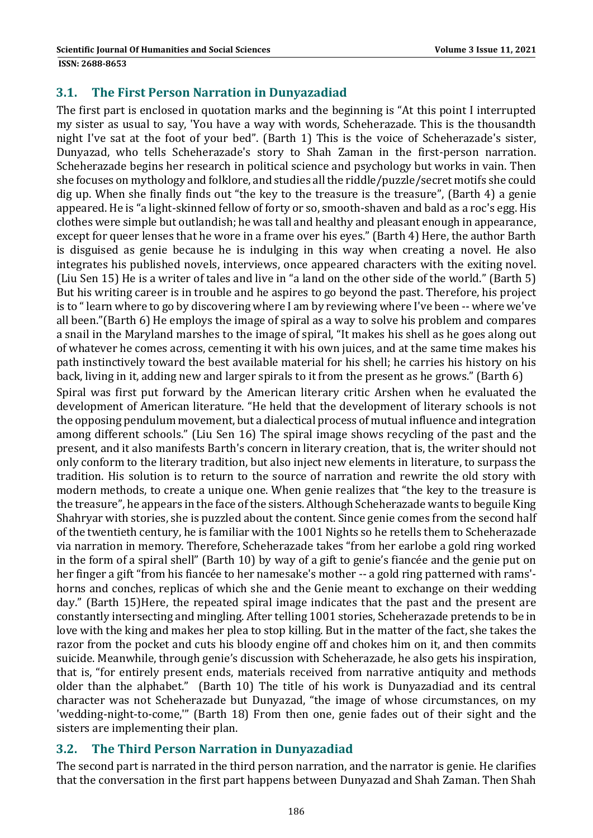#### **3.1. The First Person Narration in Dunyazadiad**

The first part is enclosed in quotation marks and the beginning is "At this point I interrupted my sister as usual to say, 'You have a way with words, Scheherazade. This is the thousandth night I've sat at the foot of your bed". (Barth 1) This is the voice of Scheherazade's sister, Dunyazad, who tells Scheherazade's story to Shah Zaman in the first-person narration. Scheherazade begins her research in political science and psychology but works in vain. Then she focuses on mythology and folklore, and studies all the riddle/puzzle/secret motifs she could dig up. When she finally finds out "the key to the treasure is the treasure", (Barth 4) a genie appeared. He is "a light-skinned fellow of forty or so, smooth-shaven and bald as a roc's egg. His clothes were simple but outlandish; he was tall and healthy and pleasant enough in appearance, except for queer lenses that he wore in a frame over his eves." (Barth 4) Here, the author Barth is disguised as genie because he is indulging in this way when creating a novel. He also integrates his published novels, interviews, once appeared characters with the exiting novel. (Liu Sen 15) He is a writer of tales and live in "a land on the other side of the world." (Barth 5) But his writing career is in trouble and he aspires to go beyond the past. Therefore, his project is to "learn where to go by discovering where I am by reviewing where I've been -- where we've all been."(Barth  $6$ ) He employs the image of spiral as a way to solve his problem and compares a snail in the Maryland marshes to the image of spiral, "It makes his shell as he goes along out of whatever he comes across, cementing it with his own juices, and at the same time makes his path instinctively toward the best available material for his shell; he carries his history on his back, living in it, adding new and larger spirals to it from the present as he grows." (Barth 6)

Spiral was first put forward by the American literary critic Arshen when he evaluated the development of American literature. "He held that the development of literary schools is not the opposing pendulum movement, but a dialectical process of mutual influence and integration among different schools." (Liu Sen 16) The spiral image shows recycling of the past and the present, and it also manifests Barth's concern in literary creation, that is, the writer should not only conform to the literary tradition, but also inject new elements in literature, to surpass the tradition. His solution is to return to the source of narration and rewrite the old story with modern methods, to create a unique one. When genie realizes that "the key to the treasure is the treasure", he appears in the face of the sisters. Although Scheherazade wants to beguile King Shahryar with stories, she is puzzled about the content. Since genie comes from the second half of the twentieth century, he is familiar with the 1001 Nights so he retells them to Scheherazade via narration in memory. Therefore, Scheherazade takes "from her earlobe a gold ring worked in the form of a spiral shell" (Barth 10) by way of a gift to genie's fiancée and the genie put on her finger a gift "from his fiancée to her namesake's mother -- a gold ring patterned with rams'horns and conches, replicas of which she and the Genie meant to exchange on their wedding day." (Barth 15)Here, the repeated spiral image indicates that the past and the present are constantly intersecting and mingling. After telling 1001 stories, Scheherazade pretends to be in love with the king and makes her plea to stop killing. But in the matter of the fact, she takes the razor from the pocket and cuts his bloody engine off and chokes him on it, and then commits suicide. Meanwhile, through genie's discussion with Scheherazade, he also gets his inspiration, that is, "for entirely present ends, materials received from narrative antiquity and methods older than the alphabet." (Barth 10) The title of his work is Dunyazadiad and its central character was not Scheherazade but Dunyazad, "the image of whose circumstances, on my 'wedding-night-to-come,'" (Barth 18) From then one, genie fades out of their sight and the sisters are implementing their plan.

#### **3.2. The Third Person Narration in Dunyazadiad**

The second part is narrated in the third person narration, and the narrator is genie. He clarifies that the conversation in the first part happens between Dunyazad and Shah Zaman. Then Shah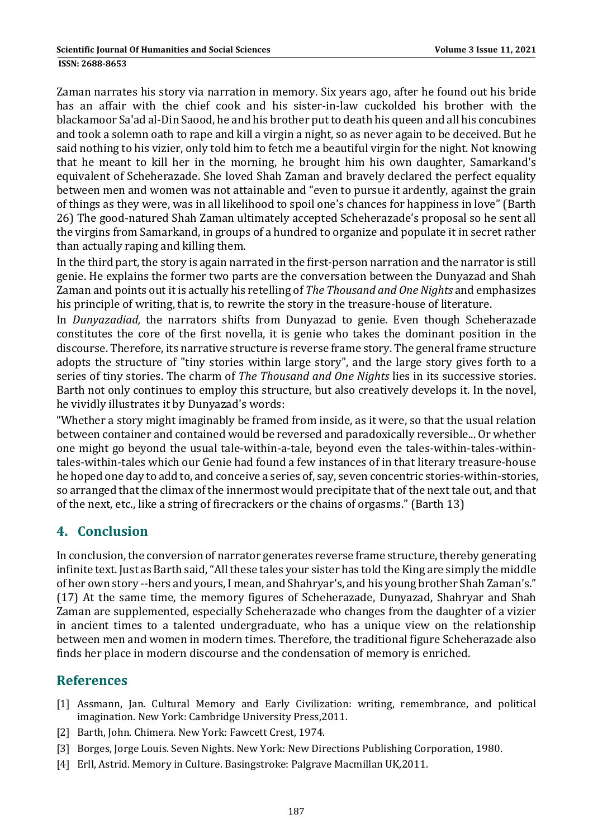Zaman narrates his story via narration in memory. Six years ago, after he found out his bride has an affair with the chief cook and his sister-in-law cuckolded his brother with the blackamoor Sa'ad al-Din Saood, he and his brother put to death his queen and all his concubines and took a solemn oath to rape and kill a virgin a night, so as never again to be deceived. But he said nothing to his vizier, only told him to fetch me a beautiful virgin for the night. Not knowing that he meant to kill her in the morning, he brought him his own daughter, Samarkand's equivalent of Scheherazade. She loved Shah Zaman and bravely declared the perfect equality between men and women was not attainable and "even to pursue it ardently, against the grain of things as they were, was in all likelihood to spoil one's chances for happiness in love" (Barth 26) The good-natured Shah Zaman ultimately accepted Scheherazade's proposal so he sent all the virgins from Samarkand, in groups of a hundred to organize and populate it in secret rather than actually raping and killing them.

In the third part, the story is again narrated in the first-person narration and the narrator is still genie. He explains the former two parts are the conversation between the Dunyazad and Shah Zaman and points out it is actually his retelling of *The Thousand and One Nights* and emphasizes his principle of writing, that is, to rewrite the story in the treasure-house of literature.

In *Dunyazadiad*, the narrators shifts from Dunyazad to genie. Even though Scheherazade constitutes the core of the first novella, it is genie who takes the dominant position in the discourse. Therefore, its narrative structure is reverse frame story. The general frame structure adopts the structure of "tiny stories within large story", and the large story gives forth to a series of tiny stories. The charm of *The Thousand and One Nights* lies in its successive stories. Barth not only continues to employ this structure, but also creatively develops it. In the novel, he vividly illustrates it by Dunyazad's words:

"Whether a story might imaginably be framed from inside, as it were, so that the usual relation between container and contained would be reversed and paradoxically reversible... Or whether one might go beyond the usual tale-within-a-tale, beyond even the tales-within-tales-withintales-within-tales which our Genie had found a few instances of in that literary treasure-house he hoped one day to add to, and conceive a series of, say, seven concentric stories-within-stories, so arranged that the climax of the innermost would precipitate that of the next tale out, and that of the next, etc., like a string of firecrackers or the chains of orgasms." (Barth 13)

# **4. Conclusion**

In conclusion, the conversion of narrator generates reverse frame structure, thereby generating infinite text. Just as Barth said, "All these tales your sister has told the King are simply the middle of her own story --hers and yours, I mean, and Shahryar's, and his young brother Shah Zaman's." (17) At the same time, the memory figures of Scheherazade, Dunyazad, Shahryar and Shah Zaman are supplemented, especially Scheherazade who changes from the daughter of a vizier in ancient times to a talented undergraduate, who has a unique view on the relationship between men and women in modern times. Therefore, the traditional figure Scheherazade also finds her place in modern discourse and the condensation of memory is enriched.

# **References**

- [1] Assmann, Jan. Cultural Memory and Early Civilization: writing, remembrance, and political imagination. New York: Cambridge University Press, 2011.
- [2] Barth, John. Chimera. New York: Fawcett Crest, 1974.
- [3] Borges, Jorge Louis. Seven Nights. New York: New Directions Publishing Corporation, 1980.
- [4] Erll, Astrid. Memory in Culture. Basingstroke: Palgrave Macmillan UK,2011.